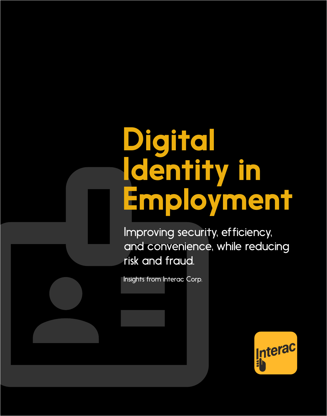# Digital Identity in Employment

Improving security, efficiency, and convenience, while reducing risk and fraud.

Insights from Interac Corp.

Interac Corp. A

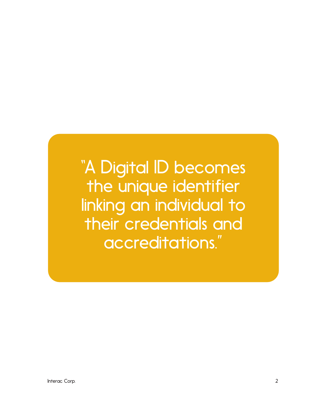"A Digital ID becomes the unique identifier linking an individual to their credentials and accreditations."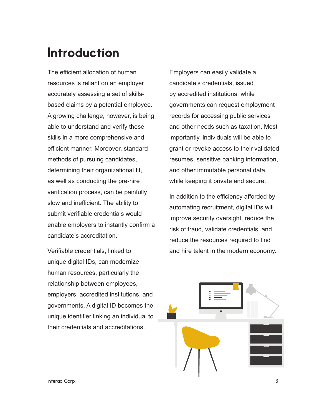## Introduction

The efficient allocation of human resources is reliant on an employer accurately assessing a set of skillsbased claims by a potential employee. A growing challenge, however, is being able to understand and verify these skills in a more comprehensive and efficient manner. Moreover, standard methods of pursuing candidates, determining their organizational fit, as well as conducting the pre-hire verification process, can be painfully slow and inefficient. The ability to submit verifiable credentials would enable employers to instantly confirm a candidate's accreditation.

Verifiable credentials, linked to unique digital IDs, can modernize human resources, particularly the relationship between employees, employers, accredited institutions, and governments. A digital ID becomes the unique identifier linking an individual to their credentials and accreditations.

Employers can easily validate a candidate's credentials, issued by accredited institutions, while governments can request employment records for accessing public services and other needs such as taxation. Most importantly, individuals will be able to grant or revoke access to their validated resumes, sensitive banking information, and other immutable personal data, while keeping it private and secure.

In addition to the efficiency afforded by automating recruitment, digital IDs will improve security oversight, reduce the risk of fraud, validate credentials, and reduce the resources required to find and hire talent in the modern economy.

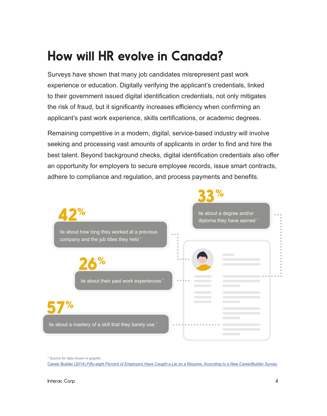# How will HR evolve in Canada?

Surveys have shown that many job candidates misrepresent past work experience or education. Digitally verifying the applicant's credentials, linked to their government issued digital identification credentials, not only mitigates the risk of fraud, but it significantly increases efficiency when confirming an applicant's past work experience, skills certifications, or academic degrees.

Remaining competitive in a modern, digital, service-based industry will involve seeking and processing vast amounts of applicants in order to find and hire the best talent. Beyond background checks, digital identification credentials also offer an opportunity for employers to secure employee records, issue smart contracts, adhere to compliance and regulation, and process payments and benefits.



\* Source for data shown in graphic:

Career Builder (2014) *[Fifty-eight Percent of Employers Have Caught a Lie on a Resume, According to a New CareerBuilder Survey](https://www.careerbuilder.ca/share/aboutus/pressreleasesdetail.aspx?sd=8%2F7%2F2014&id=pr837&ed=12%2F31%2F2014)*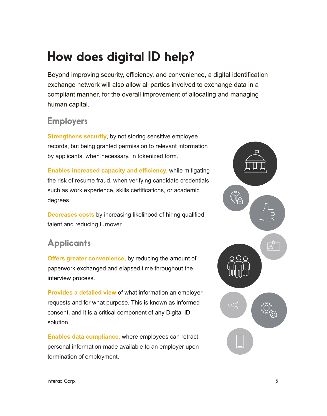## How does digital ID help?

Beyond improving security, efficiency, and convenience, a digital identification exchange network will also allow all parties involved to exchange data in a compliant manner, for the overall improvement of allocating and managing human capital.

#### **Employers**

**Strengthens security**, by not storing sensitive employee records, but being granted permission to relevant information by applicants, when necessary, in tokenized form.

**Enables increased capacity and efficiency,** while mitigating the risk of resume fraud, when verifying candidate credentials such as work experience, skills certifications, or academic degrees.

**Decreases costs** by increasing likelihood of hiring qualified talent and reducing turnover.

## **Applicants**

**Offers greater convenience,** by reducing the amount of paperwork exchanged and elapsed time throughout the interview process.

**Provides a detailed view** of what information an employer requests and for what purpose. This is known as informed consent, and it is a critical component of any Digital ID solution.

**Enables data compliance,** where employees can retract personal information made available to an employer upon termination of employment.

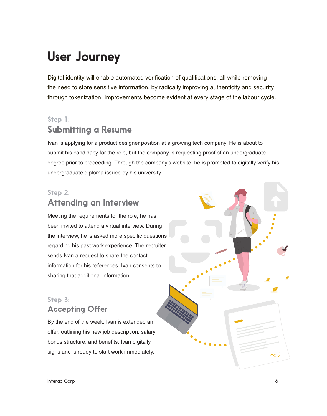# User Journey

Digital identity will enable automated verification of qualifications, all while removing the need to store sensitive information, by radically improving authenticity and security through tokenization. Improvements become evident at every stage of the labour cycle.

## Step 1: Submitting a Resume

Ivan is applying for a product designer position at a growing tech company. He is about to submit his candidacy for the role, but the company is requesting proof of an undergraduate degree prior to proceeding. Through the company's website, he is prompted to digitally verify his undergraduate diploma issued by his university.

#### Step 2: Attending an Interview

Meeting the requirements for the role, he has been invited to attend a virtual interview. During the interview, he is asked more specific questions regarding his past work experience. The recruiter sends Ivan a request to share the contact information for his references. Ivan consents to sharing that additional information.

#### Step 3: Accepting Offer

By the end of the week, Ivan is extended an offer, outlining his new job description, salary, bonus structure, and benefits. Ivan digitally signs and is ready to start work immediately.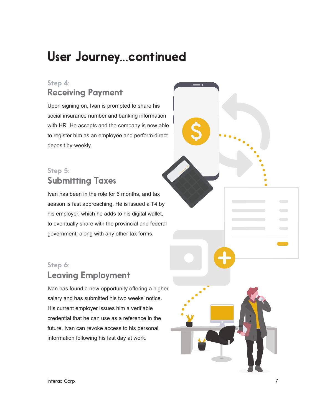## User Journey...continued

#### Step 4: Receiving Payment

Upon signing on, Ivan is prompted to share his social insurance number and banking information with HR. He accepts and the company is now able to register him as an employee and perform direct deposit by-weekly.

#### Step 5: Submitting Taxes

Ivan has been in the role for 6 months, and tax season is fast approaching. He is issued a T4 by his employer, which he adds to his digital wallet, to eventually share with the provincial and federal government, along with any other tax forms.

### Step 6: Leaving Employment

Ivan has found a new opportunity offering a higher salary and has submitted his two weeks' notice. His current employer issues him a verifiable credential that he can use as a reference in the future. Ivan can revoke access to his personal information following his last day at work.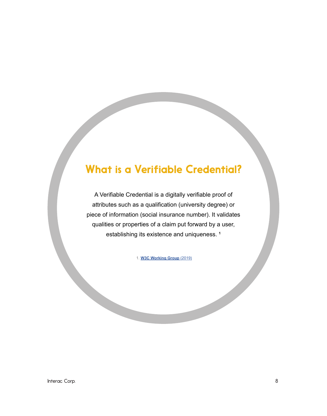## What is a Verifiable Credential?

A Verifiable Credential is a digitally verifiable proof of attributes such as a qualification (university degree) or piece of information (social insurance number). It validates qualities or properties of a claim put forward by a user, establishing its existence and uniqueness. **<sup>1</sup>**

1. **W3C Working Group** [\(2019\)](https://www.w3.org/TR/vc-use-cases/)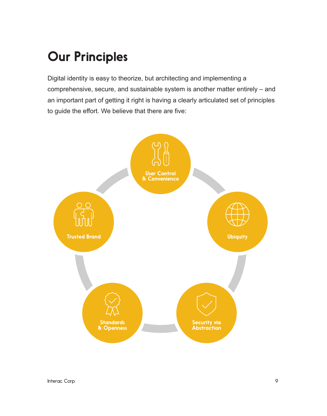# Our Principles

Digital identity is easy to theorize, but architecting and implementing a comprehensive, secure, and sustainable system is another matter entirely – and an important part of getting it right is having a clearly articulated set of principles to guide the effort. We believe that there are five:

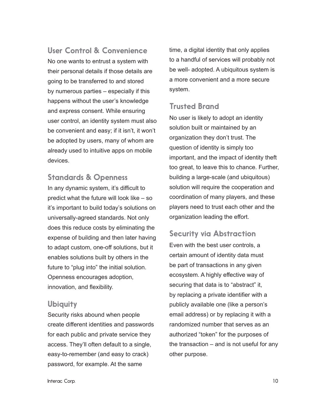User Control & Convenience

No one wants to entrust a system with their personal details if those details are going to be transferred to and stored by numerous parties – especially if this happens without the user's knowledge and express consent. While ensuring user control, an identity system must also be convenient and easy; if it isn't, it won't be adopted by users, many of whom are already used to intuitive apps on mobile devices.

#### Standards & Openness

In any dynamic system, it's difficult to predict what the future will look like – so it's important to build today's solutions on universally-agreed standards. Not only does this reduce costs by eliminating the expense of building and then later having to adapt custom, one-off solutions, but it enables solutions built by others in the future to "plug into" the initial solution. Openness encourages adoption, innovation, and flexibility.

#### Ubiquity

Security risks abound when people create different identities and passwords for each public and private service they access. They'll often default to a single, easy-to-remember (and easy to crack) password, for example. At the same

time, a digital identity that only applies to a handful of services will probably not be well- adopted. A ubiquitous system is a more convenient and a more secure system.

#### Trusted Brand

No user is likely to adopt an identity solution built or maintained by an organization they don't trust. The question of identity is simply too important, and the impact of identity theft too great, to leave this to chance. Further, building a large-scale (and ubiquitous) solution will require the cooperation and coordination of many players, and these players need to trust each other and the organization leading the effort.

#### Security via Abstraction

Even with the best user controls, a certain amount of identity data must be part of transactions in any given ecosystem. A highly effective way of securing that data is to "abstract" it, by replacing a private identifier with a publicly available one (like a person's email address) or by replacing it with a randomized number that serves as an authorized "token" for the purposes of the transaction  $-$  and is not useful for any other purpose.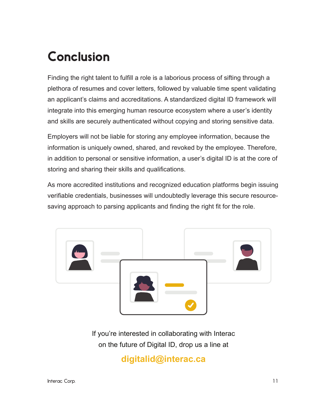# Conclusion

Finding the right talent to fulfill a role is a laborious process of sifting through a plethora of resumes and cover letters, followed by valuable time spent validating an applicant's claims and accreditations. A standardized digital ID framework will integrate into this emerging human resource ecosystem where a user's identity and skills are securely authenticated without copying and storing sensitive data.

Employers will not be liable for storing any employee information, because the information is uniquely owned, shared, and revoked by the employee. Therefore, in addition to personal or sensitive information, a user's digital ID is at the core of storing and sharing their skills and qualifications.

As more accredited institutions and recognized education platforms begin issuing verifiable credentials, businesses will undoubtedly leverage this secure resourcesaving approach to parsing applicants and finding the right fit for the role.



If you're interested in collaborating with Interac on the future of Digital ID, drop us a line at

## **digitalid@interac.ca**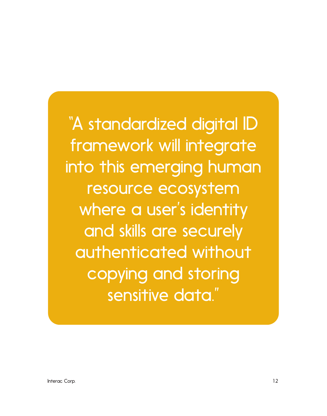"A standardized digital ID framework will integrate into this emerging human resource ecosystem where a user's identity and skills are securely authenticated without copying and storing sensitive data."